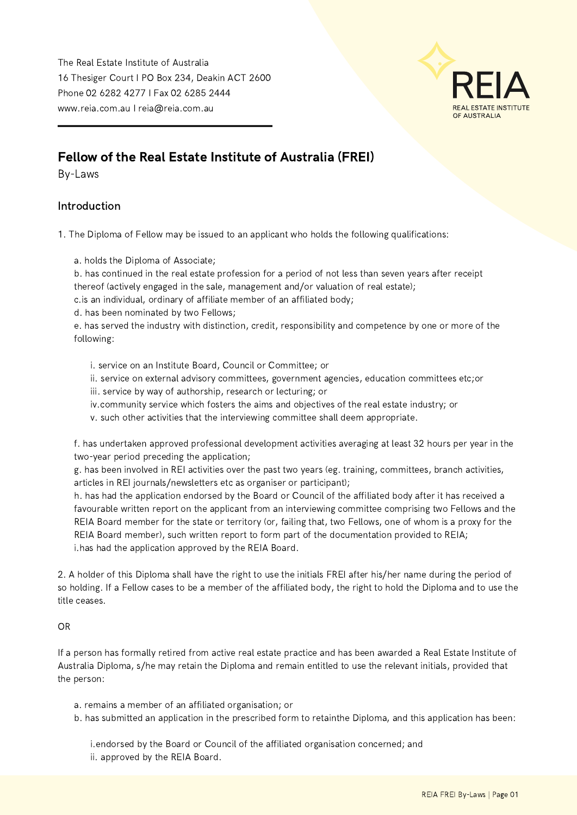The Real Estate Institute of Australia 16 Thesiger Court I PO Box 234, Deakin ACT 2600 Phone 02 6282 4277 I Fax 02 6285 2444 www.reia.com.au I reia@reia.com.au



## Fellow of the Real Estate Institute of Australia (FREI)

By-Laws

## Introduction

1. The Diploma of Fellow may be issued to an applicant who holds the following qualifications:

a. holds the Diploma of Associate;

b. has continued in the real estate profession for a period of not less than seven years after receipt thereof (actively engaged in the sale, management and/or valuation of real estate); c.is an individual, ordinary of affiliate member of an affiliated body;

d. has been nominated by two Fellows;

e. has served the industry with distinction, credit, responsibility and competence by one or more of the following:

i. service on an Institute Board, Council or Committee; or

ii. service on external advisory committees, government agencies, education committees etc;or

iii. service by way of authorship, research or lecturing; or

- iv.community service which fosters the aims and objectives of the real estate industry; or
- v. such other activities that the interviewing committee shall deem appropriate.

f. has undertaken approved professional development activities averaging at least 32 hours per year in the two-year period preceding the application;

g. has been involved in REI activities over the past two years (eg. training, committees, branch activities, articles in REI journals/newsletters etc as organiser or participant);

h. has had the application endorsed by the Board or Council of the affiliated body after it has received a favourable written report on the applicant from an interviewing committee comprising two Fellows and the REIA Board member for the state or territory (or, failing that, two Fellows, one of whom is a proxy for the REIA Board member), such written report to form part of the documentation provided to REIA; i.has had the application approved by the REIA Board.

2. A holder of this Diploma shall have the right to use the initials FREI after his/her name during the period of so holding. If a Fellow cases to be a member of the affiliated body, the right to hold the Diploma and to use the title ceases.

## OR

If a person has formally retired from active real estate practice and has been awarded a Real Estate Institute of Australia Diploma, s/he may retain the Diploma and remain entitled to use the relevant initials, provided that the person:

- a. remains a member of an affiliated organisation; or
- b. has submitted an application in the prescribed form to retainthe Diploma, and this application has been:

i.endorsed by the Board or Council of the affiliated organisation concerned; and ii. approved by the REIA Board.